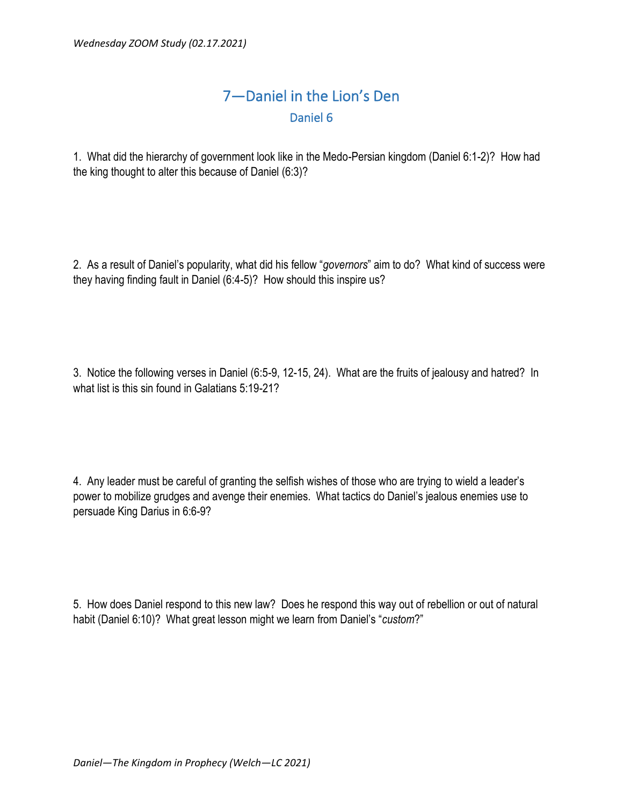## 7—Daniel in the Lion's Den Daniel 6

1. What did the hierarchy of government look like in the Medo-Persian kingdom (Daniel 6:1-2)? How had the king thought to alter this because of Daniel (6:3)?

2. As a result of Daniel's popularity, what did his fellow "*governors*" aim to do? What kind of success were they having finding fault in Daniel (6:4-5)? How should this inspire us?

3. Notice the following verses in Daniel (6:5-9, 12-15, 24). What are the fruits of jealousy and hatred? In what list is this sin found in Galatians 5:19-21?

4. Any leader must be careful of granting the selfish wishes of those who are trying to wield a leader's power to mobilize grudges and avenge their enemies. What tactics do Daniel's jealous enemies use to persuade King Darius in 6:6-9?

5. How does Daniel respond to this new law? Does he respond this way out of rebellion or out of natural habit (Daniel 6:10)? What great lesson might we learn from Daniel's "*custom*?"